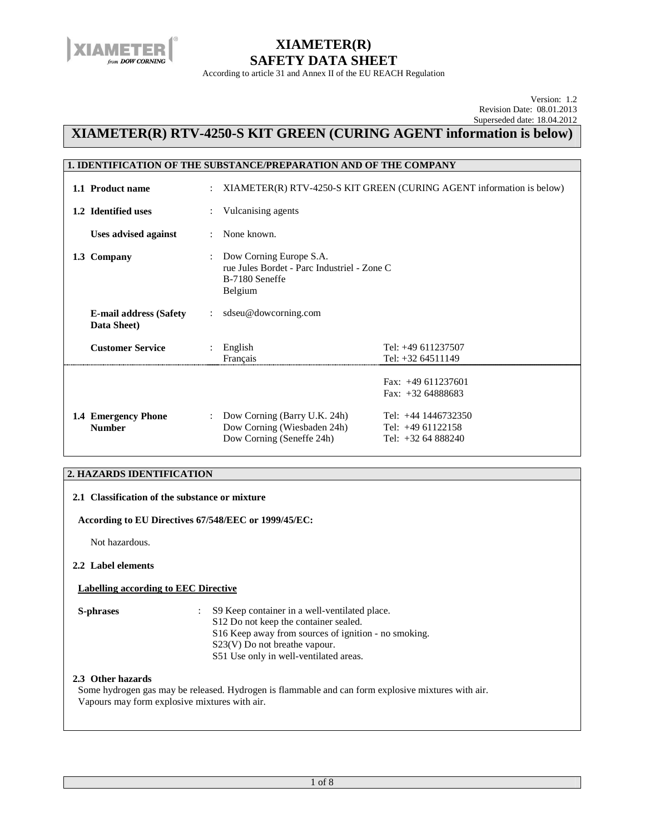

According to article 31 and Annex II of the EU REACH Regulation

Version: 1.2 Revision Date: 08.01.2013 Superseded date: 18.04.2012

## **XIAMETER(R) RTV-4250-S KIT GREEN (CURING AGENT information is below)**

| <b>1. IDENTIFICATION OF THE SUBSTANCE/PREPARATION AND OF THE COMPANY</b> |                      |                                                                                                     |                                                                      |
|--------------------------------------------------------------------------|----------------------|-----------------------------------------------------------------------------------------------------|----------------------------------------------------------------------|
| 1.1 Product name                                                         | $\ddot{\phantom{0}}$ |                                                                                                     | XIAMETER(R) RTV-4250-S KIT GREEN (CURING AGENT information is below) |
| 1.2 Identified uses                                                      |                      | Vulcanising agents                                                                                  |                                                                      |
| <b>Uses advised against</b>                                              | $\ddot{\phantom{a}}$ | None known.                                                                                         |                                                                      |
| 1.3 Company                                                              | $\ddot{\phantom{a}}$ | Dow Corning Europe S.A.<br>rue Jules Bordet - Parc Industriel - Zone C<br>B-7180 Seneffe<br>Belgium |                                                                      |
| <b>E-mail address (Safety</b><br>Data Sheet)                             |                      | sdseu@dowcorning.com                                                                                |                                                                      |
| <b>Customer Service</b>                                                  |                      | : English<br>Français                                                                               | Tel: +49 611237507<br>Tel: +32 64511149                              |
|                                                                          |                      |                                                                                                     | Fax: $+49611237601$<br>Fax: $+3264888683$                            |
| 1.4 Emergency Phone<br><b>Number</b>                                     | $\ddot{\phantom{a}}$ | Dow Corning (Barry U.K. 24h)<br>Dow Corning (Wiesbaden 24h)<br>Dow Corning (Seneffe 24h)            | Tel: $+44$ 1446732350<br>Tel: $+4961122158$<br>Tel: $+3264888240$    |

### **2. HAZARDS IDENTIFICATION**

| 2.1 Classification of the substance or mixture |                                                                                                                                                                                                                             |  |  |  |  |  |  |
|------------------------------------------------|-----------------------------------------------------------------------------------------------------------------------------------------------------------------------------------------------------------------------------|--|--|--|--|--|--|
|                                                | According to EU Directives 67/548/EEC or 1999/45/EC:                                                                                                                                                                        |  |  |  |  |  |  |
| Not hazardous.                                 |                                                                                                                                                                                                                             |  |  |  |  |  |  |
| 2.2 Label elements                             |                                                                                                                                                                                                                             |  |  |  |  |  |  |
| Labelling according to EEC Directive           |                                                                                                                                                                                                                             |  |  |  |  |  |  |
| <b>S-phrases</b>                               | S9 Keep container in a well-ventilated place.<br>S12 Do not keep the container sealed.<br>S16 Keep away from sources of ignition - no smoking.<br>$S23(V)$ Do not breathe vapour.<br>S51 Use only in well-ventilated areas. |  |  |  |  |  |  |
| 2.3 Other hazards                              | Some hydrogen gas may be released. Hydrogen is flammable and can form explosive mixtures with air.<br>Vapours may form explosive mixtures with air.                                                                         |  |  |  |  |  |  |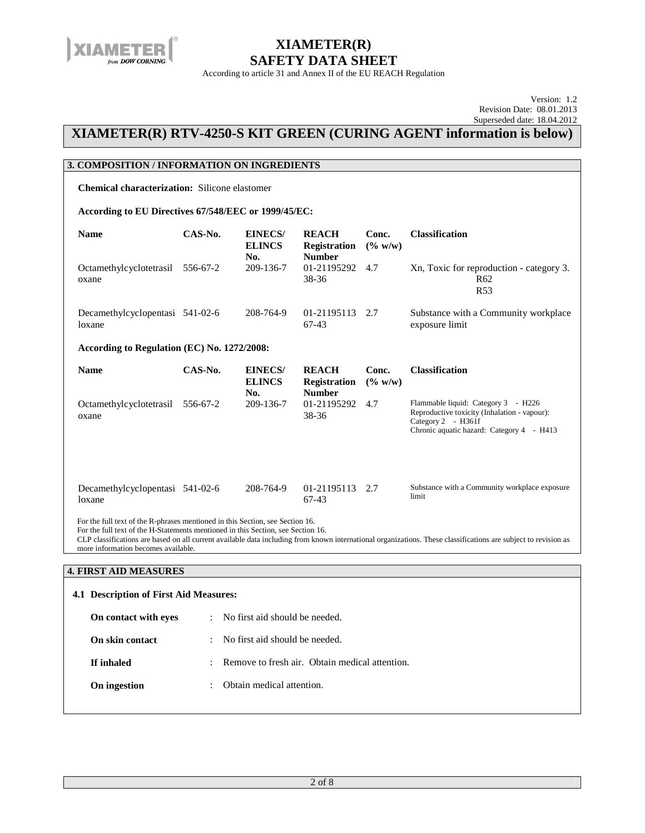

According to article 31 and Annex II of the EU REACH Regulation

Version: 1.2 Revision Date: 08.01.2013 Superseded date: 18.04.2012

## **XIAMETER(R) RTV-4250-S KIT GREEN (CURING AGENT information is below)**

### **3. COMPOSITION / INFORMATION ON INGREDIENTS**

**Chemical characterization:** Silicone elastomer

#### **According to EU Directives 67/548/EEC or 1999/45/EC:**

| <b>Name</b>                                                                                                                                                                                                                                                                                                                         | CAS-No.                                     | <b>EINECS/</b><br><b>ELINCS</b>        | <b>REACH</b><br><b>Registration</b>                  | Conc.<br>(% w/w) | <b>Classification</b>                                                                                                                                  |  |  |  |
|-------------------------------------------------------------------------------------------------------------------------------------------------------------------------------------------------------------------------------------------------------------------------------------------------------------------------------------|---------------------------------------------|----------------------------------------|------------------------------------------------------|------------------|--------------------------------------------------------------------------------------------------------------------------------------------------------|--|--|--|
| Octamethylcyclotetrasil<br>oxane                                                                                                                                                                                                                                                                                                    | 556-67-2                                    | No.<br>209-136-7                       | <b>Number</b><br>01-21195292<br>38-36                | 4.7              | Xn, Toxic for reproduction - category 3.<br>R <sub>62</sub><br>R <sub>53</sub>                                                                         |  |  |  |
| Decamethylcyclopentasi 541-02-6<br>loxane                                                                                                                                                                                                                                                                                           |                                             | 208-764-9                              | 01-21195113<br>$67-43$                               | 2.7              | Substance with a Community workplace<br>exposure limit                                                                                                 |  |  |  |
|                                                                                                                                                                                                                                                                                                                                     | According to Regulation (EC) No. 1272/2008: |                                        |                                                      |                  |                                                                                                                                                        |  |  |  |
| <b>Name</b>                                                                                                                                                                                                                                                                                                                         | CAS-No.                                     | <b>EINECS/</b><br><b>ELINCS</b><br>No. | <b>REACH</b><br><b>Registration</b><br><b>Number</b> | Conc.<br>(% w/w) | <b>Classification</b>                                                                                                                                  |  |  |  |
| Octamethylcyclotetrasil<br>oxane                                                                                                                                                                                                                                                                                                    | 556-67-2                                    | 209-136-7                              | 01-21195292<br>38-36                                 | 4.7              | Flammable liquid: Category 3 - H226<br>Reproductive toxicity (Inhalation - vapour):<br>Category 2 - H361f<br>Chronic aquatic hazard: Category 4 - H413 |  |  |  |
| Decamethylcyclopentasi 541-02-6<br>loxane                                                                                                                                                                                                                                                                                           |                                             | 208-764-9                              | 01-21195113<br>$67-43$                               | 2.7              | Substance with a Community workplace exposure<br>limit                                                                                                 |  |  |  |
| For the full text of the R-phrases mentioned in this Section, see Section 16.<br>For the full text of the H-Statements mentioned in this Section, see Section 16.<br>CLP classifications are based on all current available data including from known international organizations. These classifications are subject to revision as |                                             |                                        |                                                      |                  |                                                                                                                                                        |  |  |  |

more information becomes available.

#### **4. FIRST AID MEASURES**

| 4.1 Description of First Aid Measures:                                                                                      |                                        |  |  |  |
|-----------------------------------------------------------------------------------------------------------------------------|----------------------------------------|--|--|--|
| No first aid should be needed.<br>On contact with eyes<br>÷                                                                 |                                        |  |  |  |
| No first aid should be needed.<br>On skin contact<br>÷<br>Remove to fresh air. Obtain medical attention.<br>If inhaled<br>÷ |                                        |  |  |  |
|                                                                                                                             |                                        |  |  |  |
| On ingestion                                                                                                                | Obtain medical attention.<br>$\bullet$ |  |  |  |
|                                                                                                                             |                                        |  |  |  |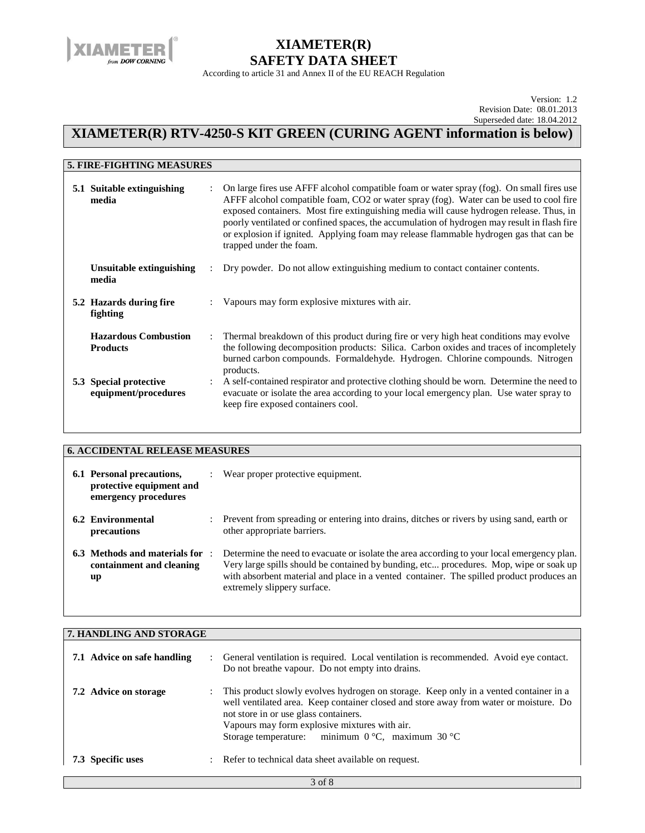

According to article 31 and Annex II of the EU REACH Regulation

Version: 1.2 Revision Date: 08.01.2013 Superseded date: 18.04.2012

## **XIAMETER(R) RTV-4250-S KIT GREEN (CURING AGENT information is below)**

| <b>5. FIRE-FIGHTING MEASURES</b>               |                                                                                                                                                                                                                                                                                                                                                                                                                                                                                                  |
|------------------------------------------------|--------------------------------------------------------------------------------------------------------------------------------------------------------------------------------------------------------------------------------------------------------------------------------------------------------------------------------------------------------------------------------------------------------------------------------------------------------------------------------------------------|
| 5.1 Suitable extinguishing<br>media            | On large fires use AFFF alcohol compatible foam or water spray (fog). On small fires use<br>AFFF alcohol compatible foam, CO2 or water spray (fog). Water can be used to cool fire<br>exposed containers. Most fire extinguishing media will cause hydrogen release. Thus, in<br>poorly ventilated or confined spaces, the accumulation of hydrogen may result in flash fire<br>or explosion if ignited. Applying foam may release flammable hydrogen gas that can be<br>trapped under the foam. |
| Unsuitable extinguishing<br>media              | Dry powder. Do not allow extinguishing medium to contact container contents.                                                                                                                                                                                                                                                                                                                                                                                                                     |
| 5.2 Hazards during fire<br>fighting            | Vapours may form explosive mixtures with air.                                                                                                                                                                                                                                                                                                                                                                                                                                                    |
| <b>Hazardous Combustion</b><br><b>Products</b> | Thermal breakdown of this product during fire or very high heat conditions may evolve<br>the following decomposition products: Silica. Carbon oxides and traces of incompletely<br>burned carbon compounds. Formaldehyde. Hydrogen. Chlorine compounds. Nitrogen<br>products.                                                                                                                                                                                                                    |
| 5.3 Special protective<br>equipment/procedures | A self-contained respirator and protective clothing should be worn. Determine the need to<br>evacuate or isolate the area according to your local emergency plan. Use water spray to<br>keep fire exposed containers cool.                                                                                                                                                                                                                                                                       |

| <b>6. ACCIDENTAL RELEASE MEASURES</b>                                         |  |                                                                                                                                                                                                                                                                                                                 |  |
|-------------------------------------------------------------------------------|--|-----------------------------------------------------------------------------------------------------------------------------------------------------------------------------------------------------------------------------------------------------------------------------------------------------------------|--|
| 6.1 Personal precautions,<br>protective equipment and<br>emergency procedures |  | Wear proper protective equipment.                                                                                                                                                                                                                                                                               |  |
| 6.2 Environmental<br>precautions                                              |  | : Prevent from spreading or entering into drains, ditches or rivers by using sand, earth or<br>other appropriate barriers.                                                                                                                                                                                      |  |
| 6.3 Methods and materials for<br>containment and cleaning<br>up               |  | Determine the need to evacuate or isolate the area according to your local emergency plan.<br>Very large spills should be contained by bunding, etc procedures. Mop, wipe or soak up<br>with absorbent material and place in a vented container. The spilled product produces an<br>extremely slippery surface. |  |

|                             | 7. HANDLING AND STORAGE |                                                                                                                                                                                                                                                                                                                                                |  |  |
|-----------------------------|-------------------------|------------------------------------------------------------------------------------------------------------------------------------------------------------------------------------------------------------------------------------------------------------------------------------------------------------------------------------------------|--|--|
| 7.1 Advice on safe handling |                         | : General ventilation is required. Local ventilation is recommended. Avoid eye contact.<br>Do not breathe vapour. Do not empty into drains.                                                                                                                                                                                                    |  |  |
| 7.2 Advice on storage       |                         | This product slowly evolves hydrogen on storage. Keep only in a vented container in a<br>well ventilated area. Keep container closed and store away from water or moisture. Do<br>not store in or use glass containers.<br>Vapours may form explosive mixtures with air.<br>Storage temperature: minimum $0^{\circ}$ C, maximum $30^{\circ}$ C |  |  |
| 7.3 Specific uses           |                         | Refer to technical data sheet available on request.                                                                                                                                                                                                                                                                                            |  |  |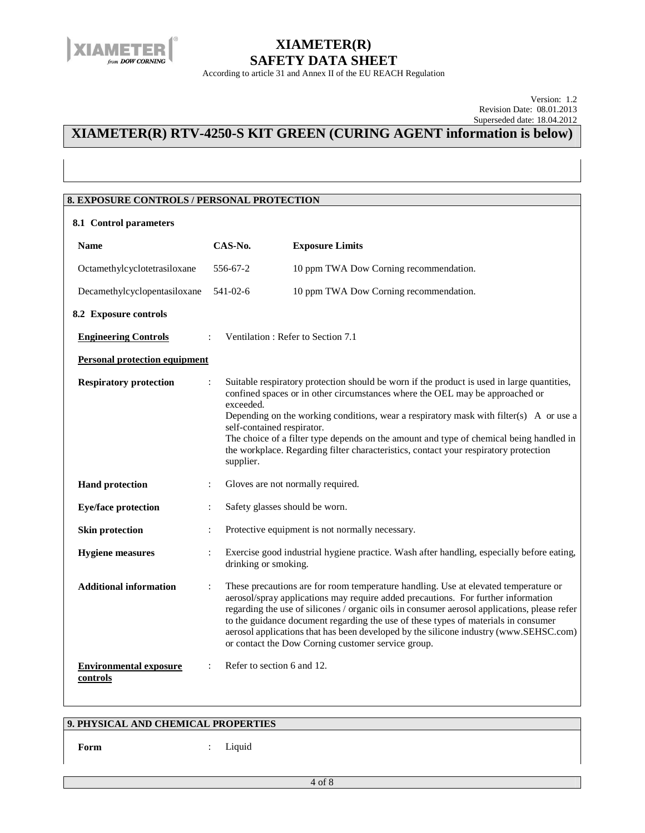

According to article 31 and Annex II of the EU REACH Regulation

Version: 1.2 Revision Date: 08.01.2013 Superseded date: 18.04.2012

### **XIAMETER(R) RTV-4250-S KIT GREEN (CURING AGENT information is below)**

### **8. EXPOSURE CONTROLS / PERSONAL PROTECTION**

| 8.1 Control parameters                    |                                                      |                                                                                                                                                                                                                                                                                                                                                                                                                                                                                                               |  |  |  |  |
|-------------------------------------------|------------------------------------------------------|---------------------------------------------------------------------------------------------------------------------------------------------------------------------------------------------------------------------------------------------------------------------------------------------------------------------------------------------------------------------------------------------------------------------------------------------------------------------------------------------------------------|--|--|--|--|
| <b>Name</b>                               | CAS-No.                                              | <b>Exposure Limits</b>                                                                                                                                                                                                                                                                                                                                                                                                                                                                                        |  |  |  |  |
| Octamethylcyclotetrasiloxane              | 556-67-2                                             | 10 ppm TWA Dow Corning recommendation.                                                                                                                                                                                                                                                                                                                                                                                                                                                                        |  |  |  |  |
| Decamethylcyclopentasiloxane              | $541 - 02 - 6$                                       | 10 ppm TWA Dow Corning recommendation.                                                                                                                                                                                                                                                                                                                                                                                                                                                                        |  |  |  |  |
| 8.2 Exposure controls                     |                                                      |                                                                                                                                                                                                                                                                                                                                                                                                                                                                                                               |  |  |  |  |
| <b>Engineering Controls</b>               |                                                      | Ventilation: Refer to Section 7.1                                                                                                                                                                                                                                                                                                                                                                                                                                                                             |  |  |  |  |
| <b>Personal protection equipment</b>      |                                                      |                                                                                                                                                                                                                                                                                                                                                                                                                                                                                                               |  |  |  |  |
| <b>Respiratory protection</b>             | exceeded.<br>self-contained respirator.<br>supplier. | Suitable respiratory protection should be worn if the product is used in large quantities,<br>confined spaces or in other circumstances where the OEL may be approached or<br>Depending on the working conditions, wear a respiratory mask with filter(s) A or use a<br>The choice of a filter type depends on the amount and type of chemical being handled in<br>the workplace. Regarding filter characteristics, contact your respiratory protection                                                       |  |  |  |  |
| <b>Hand protection</b>                    | $\ddot{\cdot}$                                       | Gloves are not normally required.                                                                                                                                                                                                                                                                                                                                                                                                                                                                             |  |  |  |  |
| <b>Eye/face protection</b>                | Safety glasses should be worn.                       |                                                                                                                                                                                                                                                                                                                                                                                                                                                                                                               |  |  |  |  |
| <b>Skin protection</b>                    |                                                      | Protective equipment is not normally necessary.                                                                                                                                                                                                                                                                                                                                                                                                                                                               |  |  |  |  |
| <b>Hygiene</b> measures                   | drinking or smoking.                                 | Exercise good industrial hygiene practice. Wash after handling, especially before eating,                                                                                                                                                                                                                                                                                                                                                                                                                     |  |  |  |  |
| <b>Additional information</b>             |                                                      | These precautions are for room temperature handling. Use at elevated temperature or<br>aerosol/spray applications may require added precautions. For further information<br>regarding the use of silicones / organic oils in consumer aerosol applications, please refer<br>to the guidance document regarding the use of these types of materials in consumer<br>aerosol applications that has been developed by the silicone industry (www.SEHSC.com)<br>or contact the Dow Corning customer service group. |  |  |  |  |
| <b>Environmental exposure</b><br>controls | Refer to section 6 and 12.                           |                                                                                                                                                                                                                                                                                                                                                                                                                                                                                                               |  |  |  |  |

### **9. PHYSICAL AND CHEMICAL PROPERTIES**

**Form** : Liquid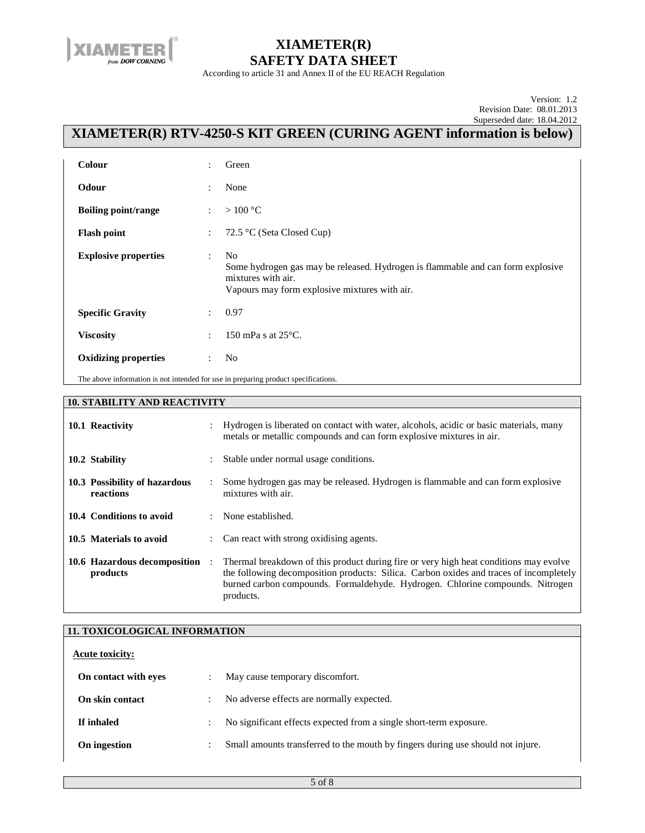

According to article 31 and Annex II of the EU REACH Regulation

Version: 1.2 Revision Date: 08.01.2013 Superseded date: 18.04.2012

## **XIAMETER(R) RTV-4250-S KIT GREEN (CURING AGENT information is below)**

| <b>Colour</b>                                                                      | $\ddot{\cdot}$       | Green                                                                                                                                                                    |
|------------------------------------------------------------------------------------|----------------------|--------------------------------------------------------------------------------------------------------------------------------------------------------------------------|
| Odour                                                                              | $\ddot{\cdot}$       | None                                                                                                                                                                     |
| <b>Boiling point/range</b>                                                         | ÷                    | $>100\,^{\circ}\mathrm{C}$                                                                                                                                               |
| <b>Flash point</b>                                                                 | $\ddot{\cdot}$       | 72.5 °C (Seta Closed Cup)                                                                                                                                                |
| <b>Explosive properties</b>                                                        | ÷                    | N <sub>0</sub><br>Some hydrogen gas may be released. Hydrogen is flammable and can form explosive<br>mixtures with air.<br>Vapours may form explosive mixtures with air. |
| <b>Specific Gravity</b>                                                            | $\ddot{\phantom{a}}$ | 0.97                                                                                                                                                                     |
| <b>Viscosity</b>                                                                   | $\ddot{\cdot}$       | 150 mPa s at $25^{\circ}$ C.                                                                                                                                             |
| <b>Oxidizing properties</b>                                                        | ÷                    | N <sub>0</sub>                                                                                                                                                           |
| The above information is not intended for use in preparing product specifications. |                      |                                                                                                                                                                          |

#### **10. STABILITY AND REACTIVITY**

| 10.1 Reactivity                            |                      | Hydrogen is liberated on contact with water, alcohols, acidic or basic materials, many<br>metals or metallic compounds and can form explosive mixtures in air.                                                                                                                |
|--------------------------------------------|----------------------|-------------------------------------------------------------------------------------------------------------------------------------------------------------------------------------------------------------------------------------------------------------------------------|
| 10.2 Stability                             | $\ddot{\phantom{0}}$ | Stable under normal usage conditions.                                                                                                                                                                                                                                         |
| 10.3 Possibility of hazardous<br>reactions |                      | Some hydrogen gas may be released. Hydrogen is flammable and can form explosive<br>mixtures with air.                                                                                                                                                                         |
| 10.4 Conditions to avoid                   |                      | $:$ None established.                                                                                                                                                                                                                                                         |
| 10.5 Materials to avoid                    |                      | : Can react with strong oxidising agents.                                                                                                                                                                                                                                     |
| 10.6 Hazardous decomposition<br>products   | $\ddot{\phantom{a}}$ | Thermal breakdown of this product during fire or very high heat conditions may evolve<br>the following decomposition products: Silica. Carbon oxides and traces of incompletely<br>burned carbon compounds. Formaldehyde. Hydrogen. Chlorine compounds. Nitrogen<br>products. |

### **11. TOXICOLOGICAL INFORMATION**

| <b>Acute toxicity:</b> |                |                                                                                 |  |  |
|------------------------|----------------|---------------------------------------------------------------------------------|--|--|
| On contact with eyes   |                | May cause temporary discomfort.                                                 |  |  |
| On skin contact        | $\bullet$      | No adverse effects are normally expected.                                       |  |  |
| If inhaled             | $\ddot{\cdot}$ | No significant effects expected from a single short-term exposure.              |  |  |
| On ingestion           | ٠              | Small amounts transferred to the mouth by fingers during use should not injure. |  |  |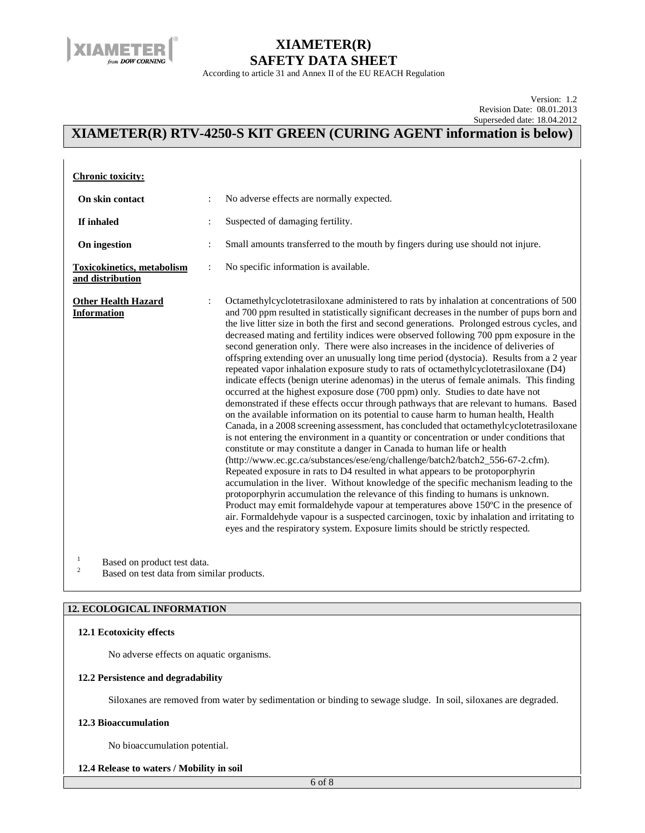

According to article 31 and Annex II of the EU REACH Regulation

Version: 1.2 Revision Date: 08.01.2013 Superseded date: 18.04.2012

 $\mathbf{r}$ 

## **XIAMETER(R) RTV-4250-S KIT GREEN (CURING AGENT information is below)**

| <b>Chronic toxicity:</b>                              |                |                                                                                                                                                                                                                                                                                                                                                                                                                                                                                                                                                                                                                                                                                                                                                                                                                                                                                                                                                                                                                                                                                                                                                                                                                                                                                                                                                                                                                                                                                                                                                                                                                                                                                                                                                                                                                                                                                                                    |
|-------------------------------------------------------|----------------|--------------------------------------------------------------------------------------------------------------------------------------------------------------------------------------------------------------------------------------------------------------------------------------------------------------------------------------------------------------------------------------------------------------------------------------------------------------------------------------------------------------------------------------------------------------------------------------------------------------------------------------------------------------------------------------------------------------------------------------------------------------------------------------------------------------------------------------------------------------------------------------------------------------------------------------------------------------------------------------------------------------------------------------------------------------------------------------------------------------------------------------------------------------------------------------------------------------------------------------------------------------------------------------------------------------------------------------------------------------------------------------------------------------------------------------------------------------------------------------------------------------------------------------------------------------------------------------------------------------------------------------------------------------------------------------------------------------------------------------------------------------------------------------------------------------------------------------------------------------------------------------------------------------------|
| On skin contact                                       | $\ddot{\cdot}$ | No adverse effects are normally expected.                                                                                                                                                                                                                                                                                                                                                                                                                                                                                                                                                                                                                                                                                                                                                                                                                                                                                                                                                                                                                                                                                                                                                                                                                                                                                                                                                                                                                                                                                                                                                                                                                                                                                                                                                                                                                                                                          |
| If inhaled                                            |                | Suspected of damaging fertility.                                                                                                                                                                                                                                                                                                                                                                                                                                                                                                                                                                                                                                                                                                                                                                                                                                                                                                                                                                                                                                                                                                                                                                                                                                                                                                                                                                                                                                                                                                                                                                                                                                                                                                                                                                                                                                                                                   |
| On ingestion                                          |                | Small amounts transferred to the mouth by fingers during use should not injure.                                                                                                                                                                                                                                                                                                                                                                                                                                                                                                                                                                                                                                                                                                                                                                                                                                                                                                                                                                                                                                                                                                                                                                                                                                                                                                                                                                                                                                                                                                                                                                                                                                                                                                                                                                                                                                    |
| <b>Toxicokinetics, metabolism</b><br>and distribution |                | No specific information is available.                                                                                                                                                                                                                                                                                                                                                                                                                                                                                                                                                                                                                                                                                                                                                                                                                                                                                                                                                                                                                                                                                                                                                                                                                                                                                                                                                                                                                                                                                                                                                                                                                                                                                                                                                                                                                                                                              |
| <b>Other Health Hazard</b><br><b>Information</b>      |                | Octamethylcyclotetrasiloxane administered to rats by inhalation at concentrations of 500<br>and 700 ppm resulted in statistically significant decreases in the number of pups born and<br>the live litter size in both the first and second generations. Prolonged estrous cycles, and<br>decreased mating and fertility indices were observed following 700 ppm exposure in the<br>second generation only. There were also increases in the incidence of deliveries of<br>offspring extending over an unusually long time period (dystocia). Results from a 2 year<br>repeated vapor inhalation exposure study to rats of octamethylcyclotetrasiloxane (D4)<br>indicate effects (benign uterine adenomas) in the uterus of female animals. This finding<br>occurred at the highest exposure dose (700 ppm) only. Studies to date have not<br>demonstrated if these effects occur through pathways that are relevant to humans. Based<br>on the available information on its potential to cause harm to human health, Health<br>Canada, in a 2008 screening assessment, has concluded that octamethylcyclotetrasiloxane<br>is not entering the environment in a quantity or concentration or under conditions that<br>constitute or may constitute a danger in Canada to human life or health<br>(http://www.ec.gc.ca/substances/ese/eng/challenge/batch2/batch2_556-67-2.cfm).<br>Repeated exposure in rats to D4 resulted in what appears to be protoporphyrin<br>accumulation in the liver. Without knowledge of the specific mechanism leading to the<br>protoporphyrin accumulation the relevance of this finding to humans is unknown.<br>Product may emit formaldehyde vapour at temperatures above 150°C in the presence of<br>air. Formaldehyde vapour is a suspected carcinogen, toxic by inhalation and irritating to<br>eyes and the respiratory system. Exposure limits should be strictly respected. |
| $\mathbf{1}$<br>Based on product test data.<br>C      |                |                                                                                                                                                                                                                                                                                                                                                                                                                                                                                                                                                                                                                                                                                                                                                                                                                                                                                                                                                                                                                                                                                                                                                                                                                                                                                                                                                                                                                                                                                                                                                                                                                                                                                                                                                                                                                                                                                                                    |

Based on test data from similar products.

#### **12. ECOLOGICAL INFORMATION**

#### **12.1 Ecotoxicity effects**

No adverse effects on aquatic organisms.

#### **12.2 Persistence and degradability**

Siloxanes are removed from water by sedimentation or binding to sewage sludge. In soil, siloxanes are degraded.

#### **12.3 Bioaccumulation**

No bioaccumulation potential.

#### **12.4 Release to waters / Mobility in soil**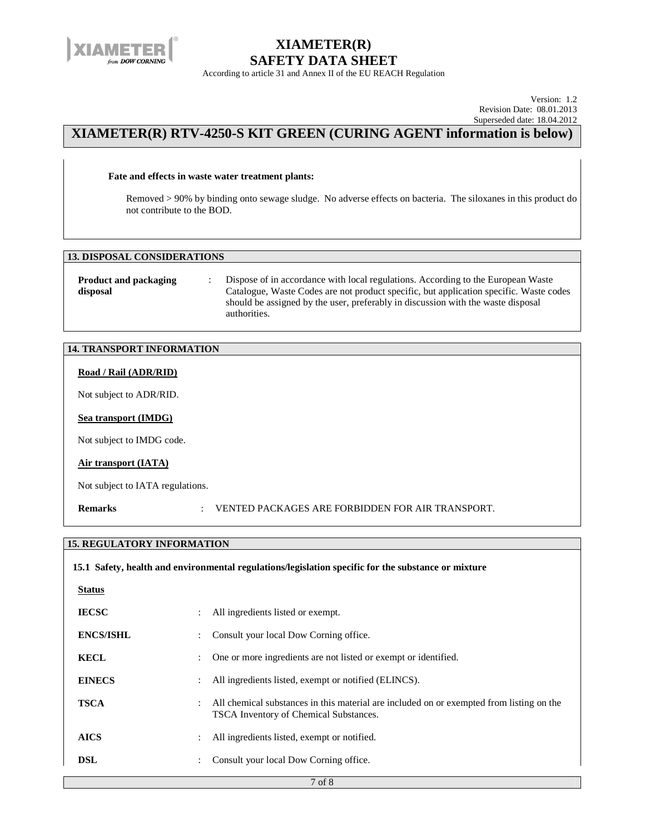

According to article 31 and Annex II of the EU REACH Regulation

Version: 1.2 Revision Date: 08.01.2013 Superseded date: 18.04.2012

### **XIAMETER(R) RTV-4250-S KIT GREEN (CURING AGENT information is below)**

#### **Fate and effects in waste water treatment plants:**

Removed > 90% by binding onto sewage sludge. No adverse effects on bacteria. The siloxanes in this product do not contribute to the BOD.

### **13. DISPOSAL CONSIDERATIONS**

| <b>Product and packaging</b> | Dispose of in accordance with local regulations. According to the European Waste       |  |
|------------------------------|----------------------------------------------------------------------------------------|--|
| disposal                     | Catalogue, Waste Codes are not product specific, but application specific. Waste codes |  |
|                              | should be assigned by the user, preferably in discussion with the waste disposal       |  |
|                              | authorities.                                                                           |  |

### **14. TRANSPORT INFORMATION**

#### **Road / Rail (ADR/RID)**

Not subject to ADR/RID.

#### **Sea transport (IMDG)**

Not subject to IMDG code.

#### **Air transport (IATA)**

Not subject to IATA regulations.

**Remarks** : VENTED PACKAGES ARE FORBIDDEN FOR AIR TRANSPORT.

### **15. REGULATORY INFORMATION**

| 15.1 Safety, health and environmental regulations/legislation specific for the substance or mixture |                                                                                                                                    |  |  |  |
|-----------------------------------------------------------------------------------------------------|------------------------------------------------------------------------------------------------------------------------------------|--|--|--|
| <b>Status</b>                                                                                       |                                                                                                                                    |  |  |  |
| <b>IECSC</b>                                                                                        | All ingredients listed or exempt.                                                                                                  |  |  |  |
| <b>ENCS/ISHL</b>                                                                                    | Consult your local Dow Corning office.                                                                                             |  |  |  |
| <b>KECL</b>                                                                                         | One or more ingredients are not listed or exempt or identified.                                                                    |  |  |  |
| <b>EINECS</b>                                                                                       | All ingredients listed, exempt or notified (ELINCS).                                                                               |  |  |  |
| <b>TSCA</b>                                                                                         | All chemical substances in this material are included on or exempted from listing on the<br>TSCA Inventory of Chemical Substances. |  |  |  |
| <b>AICS</b>                                                                                         | All ingredients listed, exempt or notified.                                                                                        |  |  |  |
| <b>DSL</b>                                                                                          | Consult your local Dow Corning office.                                                                                             |  |  |  |